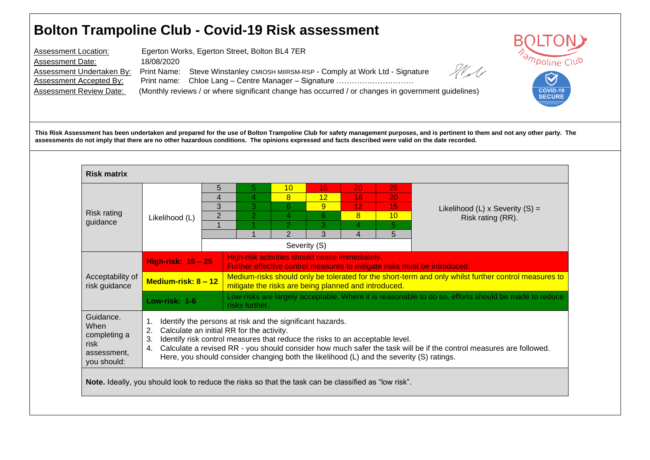## **Bolton Trampoline Club - Covid-19 Risk assessment**

Assessment Location: Egerton Works, Egerton Street, Bolton BL4 7ER Assessment Date: 18/08/2020 State Assessment Undertaken By: Print Name: Steve Winstanley CMIOSH MIIRSM-RSP - Comply at Work Ltd - Signature Print name: Chloe Lang – Centre Manager – Signature …………………………………………………………………………… Assessment Review Date: (Monthly reviews / or where significant change has occurred / or changes in government guidelines)



**This Risk Assessment has been undertaken and prepared for the use of Bolton Trampoline Club for safety management purposes, and is pertinent to them and not any other party. The assessments do not imply that there are no other hazardous conditions. The opinions expressed and facts described were valid on the date recorded.**

| <b>Risk matrix</b>                                                                                                                                      |                                                                                                                                                                                                                                                                                                                                                                                                                                                                   |                |                |                     |         |                       |          |                                                                                                     |  |  |  |
|---------------------------------------------------------------------------------------------------------------------------------------------------------|-------------------------------------------------------------------------------------------------------------------------------------------------------------------------------------------------------------------------------------------------------------------------------------------------------------------------------------------------------------------------------------------------------------------------------------------------------------------|----------------|----------------|---------------------|---------|-----------------------|----------|-----------------------------------------------------------------------------------------------------|--|--|--|
|                                                                                                                                                         |                                                                                                                                                                                                                                                                                                                                                                                                                                                                   | 5              | 5              | 10                  | 15      | 20                    | 25       |                                                                                                     |  |  |  |
|                                                                                                                                                         |                                                                                                                                                                                                                                                                                                                                                                                                                                                                   | 4<br>3         | 4<br>3         | $\overline{8}$<br>6 | 12<br>9 | 16<br>12 <sub>1</sub> | 20<br>15 |                                                                                                     |  |  |  |
| Risk rating                                                                                                                                             | Likelihood (L)                                                                                                                                                                                                                                                                                                                                                                                                                                                    | $\overline{2}$ | $\overline{2}$ | 4                   | 6       | 8                     | 10       | Likelihood (L) x Severity $(S)$ =<br>Risk rating (RR).                                              |  |  |  |
| guidance                                                                                                                                                |                                                                                                                                                                                                                                                                                                                                                                                                                                                                   |                |                | $\mathbf{P}$        | 3       | 4                     | 5.       |                                                                                                     |  |  |  |
|                                                                                                                                                         |                                                                                                                                                                                                                                                                                                                                                                                                                                                                   |                |                | $\overline{2}$      | 3       | 4                     | 5        |                                                                                                     |  |  |  |
| Severity (S)                                                                                                                                            |                                                                                                                                                                                                                                                                                                                                                                                                                                                                   |                |                |                     |         |                       |          |                                                                                                     |  |  |  |
| High-risk activities should cease immediately.<br><b>High-risk: 15 - 25</b><br>Further effective control measures to mitigate risks must be introduced. |                                                                                                                                                                                                                                                                                                                                                                                                                                                                   |                |                |                     |         |                       |          |                                                                                                     |  |  |  |
| Acceptability of<br>risk guidance                                                                                                                       | Medium-risks should only be tolerated for the short-term and only whilst further control measures to<br>Medium-risk: $8 - 12$<br>mitigate the risks are being planned and introduced.                                                                                                                                                                                                                                                                             |                |                |                     |         |                       |          |                                                                                                     |  |  |  |
|                                                                                                                                                         | Low-risk: 1-6                                                                                                                                                                                                                                                                                                                                                                                                                                                     |                |                |                     |         |                       |          | Low-risks are largely acceptable. Where it is reasonable to do so, efforts should be made to reduce |  |  |  |
| Guidance.<br>When<br>completing a<br>risk<br>assessment.                                                                                                | risks further.<br>Identify the persons at risk and the significant hazards.<br>1.<br>Calculate an initial RR for the activity.<br>2.<br>Identify risk control measures that reduce the risks to an acceptable level.<br>3.<br>Calculate a revised RR - you should consider how much safer the task will be if the control measures are followed.<br>4.<br>Here, you should consider changing both the likelihood (L) and the severity (S) ratings.<br>you should: |                |                |                     |         |                       |          |                                                                                                     |  |  |  |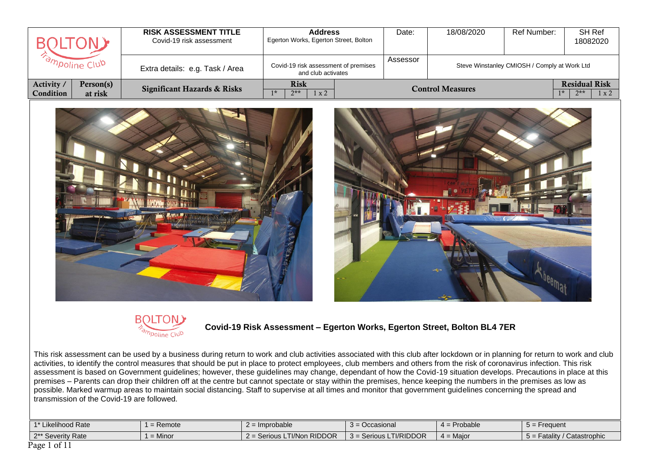|                  |           | <b>RISK ASSESSMENT TITLE</b><br>Covid-19 risk assessment | <b>Address</b><br>Egerton Works, Egerton Street, Bolton    | Date:    | 18/08/2020              | Ref Number:                                  | SH Ref<br>18082020     |
|------------------|-----------|----------------------------------------------------------|------------------------------------------------------------|----------|-------------------------|----------------------------------------------|------------------------|
| ampoline Club    |           | Extra details: e.g. Task / Area                          | Covid-19 risk assessment of premises<br>and club activates | Assessor |                         | Steve Winstanley CMIOSH / Comply at Work Ltd |                        |
| Activity         | Person(s) | <b>Significant Hazards &amp; Risks</b>                   | <b>Risk</b>                                                |          | <b>Control Measures</b> |                                              | <b>Residual Risk</b>   |
| <b>Condition</b> | at risk   |                                                          | $7**$<br>$1 \times 2$                                      |          |                         |                                              | $1*$<br>$7**$<br>1 x 2 |







 **Covid-19 Risk Assessment – Egerton Works, Egerton Street, Bolton BL4 7ER** 

This risk assessment can be used by a business during return to work and club activities associated with this club after lockdown or in planning for return to work and club activities, to identify the control measures that should be put in place to protect employees, club members and others from the risk of coronavirus infection. This risk assessment is based on Government guidelines; however, these guidelines may change, dependant of how the Covid-19 situation develops. Precautions in place at this premises – Parents can drop their children off at the centre but cannot spectate or stay within the premises, hence keeping the numbers in the premises as low as possible. Marked warmup areas to maintain social distancing. Staff to supervise at all times and monitor that government guidelines concerning the spread and transmission of the Covid-19 are followed.

| $1.4*11$<br>Likelihood Rate     | Remote | Improbable                                                 | $\sqrt{ }$<br>Occasional           | Probable    | Erequent<br>$\cdot$ $-$                  |
|---------------------------------|--------|------------------------------------------------------------|------------------------------------|-------------|------------------------------------------|
| 2** Severity<br><sup>Rate</sup> | Minor  | <b>RIDDOR</b><br><b>Cariou</b><br>⊺l/Non∶<br>$Z =$ Serious | Ti/Riddor<br>Serious LI<br>$3 = 5$ | $4 =$ Maior | Catastrophic<br>----<br>atalıtv<br>$D =$ |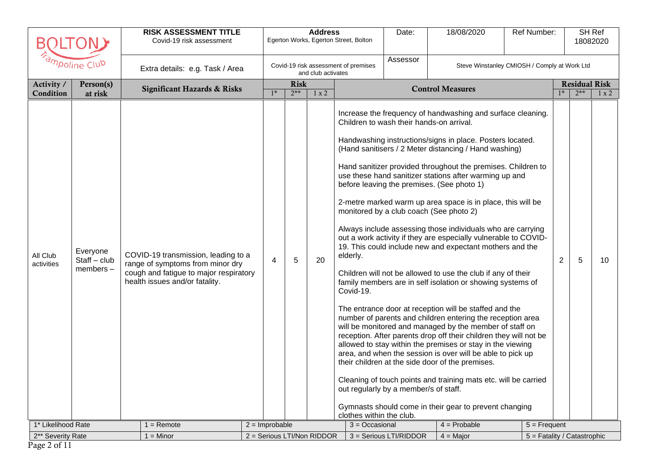|                                              |                                        | <b>RISK ASSESSMENT TITLE</b><br>Covid-19 risk assessment                                                                                                            |                       |                      | <b>Address</b>             | Egerton Works, Egerton Street, Bolton                                 | Date:                                                                             | 18/08/2020                                                                                                                                                                                                                                                                                                                                                                                                                                                                                                                                                                                                                                                                                                                                                                                                                                                                                                                                                                                                                                                                                                                                                                                                                                                                                                                                                                             | Ref Number:                 |                |                               | SH Ref<br>18082020 |
|----------------------------------------------|----------------------------------------|---------------------------------------------------------------------------------------------------------------------------------------------------------------------|-----------------------|----------------------|----------------------------|-----------------------------------------------------------------------|-----------------------------------------------------------------------------------|----------------------------------------------------------------------------------------------------------------------------------------------------------------------------------------------------------------------------------------------------------------------------------------------------------------------------------------------------------------------------------------------------------------------------------------------------------------------------------------------------------------------------------------------------------------------------------------------------------------------------------------------------------------------------------------------------------------------------------------------------------------------------------------------------------------------------------------------------------------------------------------------------------------------------------------------------------------------------------------------------------------------------------------------------------------------------------------------------------------------------------------------------------------------------------------------------------------------------------------------------------------------------------------------------------------------------------------------------------------------------------------|-----------------------------|----------------|-------------------------------|--------------------|
|                                              | ampoline Club                          | Extra details: e.g. Task / Area                                                                                                                                     |                       |                      | and club activates         | Covid-19 risk assessment of premises                                  | Assessor                                                                          | Steve Winstanley CMIOSH / Comply at Work Ltd                                                                                                                                                                                                                                                                                                                                                                                                                                                                                                                                                                                                                                                                                                                                                                                                                                                                                                                                                                                                                                                                                                                                                                                                                                                                                                                                           |                             |                |                               |                    |
| Activity /<br>Condition                      | Person(s)<br>at risk                   | <b>Significant Hazards &amp; Risks</b>                                                                                                                              | $1*$                  | <b>Risk</b><br>$2**$ | 1 x 2                      |                                                                       |                                                                                   | <b>Control Measures</b>                                                                                                                                                                                                                                                                                                                                                                                                                                                                                                                                                                                                                                                                                                                                                                                                                                                                                                                                                                                                                                                                                                                                                                                                                                                                                                                                                                |                             | $1*$           | <b>Residual Risk</b><br>$2**$ | $1 \times 2$       |
| All Club<br>activities<br>1* Likelihood Rate | Everyone<br>$Start - club$<br>members- | COVID-19 transmission, leading to a<br>range of symptoms from minor dry<br>cough and fatigue to major respiratory<br>health issues and/or fatality.<br>$1 =$ Remote | 4<br>$2 =$ Improbable | 5                    | 20                         | elderly.<br>Covid-19.<br>clothes within the club.<br>$3 = Occasional$ | Children to wash their hands-on arrival.<br>out regularly by a member/s of staff. | Increase the frequency of handwashing and surface cleaning.<br>Handwashing instructions/signs in place. Posters located.<br>(Hand sanitisers / 2 Meter distancing / Hand washing)<br>Hand sanitizer provided throughout the premises. Children to<br>use these hand sanitizer stations after warming up and<br>before leaving the premises. (See photo 1)<br>2-metre marked warm up area space is in place, this will be<br>monitored by a club coach (See photo 2)<br>Always include assessing those individuals who are carrying<br>out a work activity if they are especially vulnerable to COVID-<br>19. This could include new and expectant mothers and the<br>Children will not be allowed to use the club if any of their<br>family members are in self isolation or showing systems of<br>The entrance door at reception will be staffed and the<br>number of parents and children entering the reception area<br>will be monitored and managed by the member of staff on<br>reception. After parents drop off their children they will not be<br>allowed to stay within the premises or stay in the viewing<br>area, and when the session is over will be able to pick up<br>their children at the side door of the premises.<br>Cleaning of touch points and training mats etc. will be carried<br>Gymnasts should come in their gear to prevent changing<br>$4 =$ Probable | $5 =$ Frequent              | $\overline{2}$ | 5                             | 10                 |
| 2** Severity Rate                            |                                        | $1 =$ Minor                                                                                                                                                         |                       |                      | 2 = Serious LTI/Non RIDDOR |                                                                       | 3 = Serious LTI/RIDDOR                                                            | $4 =$ Major                                                                                                                                                                                                                                                                                                                                                                                                                                                                                                                                                                                                                                                                                                                                                                                                                                                                                                                                                                                                                                                                                                                                                                                                                                                                                                                                                                            | 5 = Fatality / Catastrophic |                |                               |                    |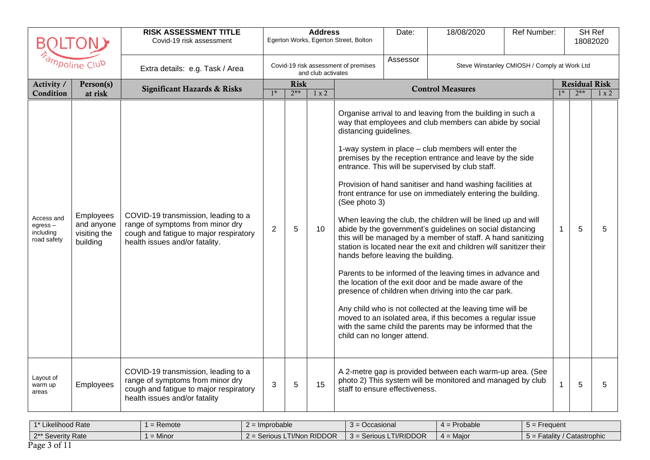| Β                                                 |                                                            | <b>RISK ASSESSMENT TITLE</b><br>Covid-19 risk assessment                                                                                            |                |                      | <b>Address</b>     | Egerton Works, Egerton Street, Bolton                                                                        | Date:    | 18/08/2020                                                                                                                                                                                                                                                                                                                                                                                                                                                                                                                                                                                                                                                                                                                                                                                                                                                                                                                                                                                                                                                              | Ref Number:                                  |      |                               | <b>SH Ref</b><br>18082020 |
|---------------------------------------------------|------------------------------------------------------------|-----------------------------------------------------------------------------------------------------------------------------------------------------|----------------|----------------------|--------------------|--------------------------------------------------------------------------------------------------------------|----------|-------------------------------------------------------------------------------------------------------------------------------------------------------------------------------------------------------------------------------------------------------------------------------------------------------------------------------------------------------------------------------------------------------------------------------------------------------------------------------------------------------------------------------------------------------------------------------------------------------------------------------------------------------------------------------------------------------------------------------------------------------------------------------------------------------------------------------------------------------------------------------------------------------------------------------------------------------------------------------------------------------------------------------------------------------------------------|----------------------------------------------|------|-------------------------------|---------------------------|
|                                                   | ampoline Club                                              | Extra details: e.g. Task / Area                                                                                                                     |                |                      | and club activates | Covid-19 risk assessment of premises                                                                         | Assessor |                                                                                                                                                                                                                                                                                                                                                                                                                                                                                                                                                                                                                                                                                                                                                                                                                                                                                                                                                                                                                                                                         | Steve Winstanley CMIOSH / Comply at Work Ltd |      |                               |                           |
| Activity /<br>Condition                           | Person(s)<br>at risk                                       | <b>Significant Hazards &amp; Risks</b>                                                                                                              | $1*$           | <b>Risk</b><br>$2**$ | 1 x 2              |                                                                                                              |          | <b>Control Measures</b>                                                                                                                                                                                                                                                                                                                                                                                                                                                                                                                                                                                                                                                                                                                                                                                                                                                                                                                                                                                                                                                 |                                              | $1*$ | <b>Residual Risk</b><br>$2**$ | $1 \times 2$              |
| Access and<br>egress-<br>including<br>road safety | <b>Employees</b><br>and anyone<br>visiting the<br>building | COVID-19 transmission, leading to a<br>range of symptoms from minor dry<br>cough and fatigue to major respiratory<br>health issues and/or fatality. | $\overline{2}$ | 5                    | 10                 | distancing guidelines.<br>(See photo 3)<br>hands before leaving the building.<br>child can no longer attend. |          | Organise arrival to and leaving from the building in such a<br>way that employees and club members can abide by social<br>1-way system in place - club members will enter the<br>premises by the reception entrance and leave by the side<br>entrance. This will be supervised by club staff.<br>Provision of hand sanitiser and hand washing facilities at<br>front entrance for use on immediately entering the building.<br>When leaving the club, the children will be lined up and will<br>abide by the government's guidelines on social distancing<br>this will be managed by a member of staff. A hand sanitizing<br>station is located near the exit and children will sanitizer their<br>Parents to be informed of the leaving times in advance and<br>the location of the exit door and be made aware of the<br>presence of children when driving into the car park.<br>Any child who is not collected at the leaving time will be<br>moved to an isolated area, if this becomes a regular issue<br>with the same child the parents may be informed that the |                                              | 1    | 5                             | 5                         |
| Layout of<br>warm up<br>areas                     | Employees                                                  | COVID-19 transmission, leading to a<br>range of symptoms from minor dry<br>cough and fatigue to major respiratory<br>health issues and/or fatality  | 3              | 5                    | 15                 | staff to ensure effectiveness.                                                                               |          | A 2-metre gap is provided between each warm-up area. (See<br>photo 2) This system will be monitored and managed by club                                                                                                                                                                                                                                                                                                                                                                                                                                                                                                                                                                                                                                                                                                                                                                                                                                                                                                                                                 |                                              | 1    | 5                             | 5                         |

| 1 <sup>*</sup> Likelihood Rate | Remote    | s Improbable                        | <b>Occasional</b>           | Probable    | <b>Frequent</b>          |
|--------------------------------|-----------|-------------------------------------|-----------------------------|-------------|--------------------------|
| 2** Severity Rate              | $=$ Minor | <b>LTI/Non RIDDOR</b><br>Serious LT | LTI/RIDDOR<br>3 = Serious . | $4 =$ Major | Fatality<br>Catastrophic |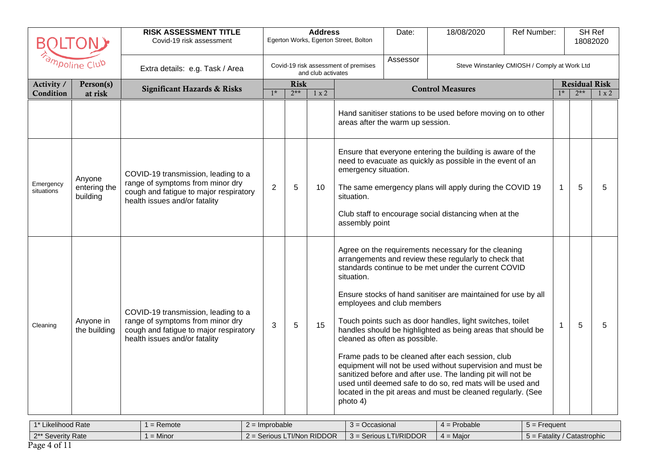|                         |                                    | <b>RISK ASSESSMENT TITLE</b><br>Covid-19 risk assessment                                                                                           |                |                      | <b>Address</b>     | Egerton Works, Egerton Street, Bolton                | Date:                                                       | 18/08/2020                                                                                                                                                                                                                                                                                                                                                                                                                                                                                                                                                                                                                                                                         | Ref Number:                                  |              | 18082020                      | SH Ref       |
|-------------------------|------------------------------------|----------------------------------------------------------------------------------------------------------------------------------------------------|----------------|----------------------|--------------------|------------------------------------------------------|-------------------------------------------------------------|------------------------------------------------------------------------------------------------------------------------------------------------------------------------------------------------------------------------------------------------------------------------------------------------------------------------------------------------------------------------------------------------------------------------------------------------------------------------------------------------------------------------------------------------------------------------------------------------------------------------------------------------------------------------------------|----------------------------------------------|--------------|-------------------------------|--------------|
|                         | ampoline Club                      | Extra details: e.g. Task / Area                                                                                                                    |                |                      | and club activates | Covid-19 risk assessment of premises                 | Assessor                                                    |                                                                                                                                                                                                                                                                                                                                                                                                                                                                                                                                                                                                                                                                                    | Steve Winstanley CMIOSH / Comply at Work Ltd |              |                               |              |
| Activity /<br>Condition | Person(s)<br>at risk               | <b>Significant Hazards &amp; Risks</b>                                                                                                             | $1*$           | <b>Risk</b><br>$2**$ | 1 x 2              |                                                      |                                                             | <b>Control Measures</b>                                                                                                                                                                                                                                                                                                                                                                                                                                                                                                                                                                                                                                                            |                                              | $1*$         | <b>Residual Risk</b><br>$2**$ | $1 \times 2$ |
|                         |                                    |                                                                                                                                                    |                |                      |                    | areas after the warm up session.                     |                                                             | Hand sanitiser stations to be used before moving on to other                                                                                                                                                                                                                                                                                                                                                                                                                                                                                                                                                                                                                       |                                              |              |                               |              |
| Emergency<br>situations | Anyone<br>entering the<br>building | COVID-19 transmission, leading to a<br>range of symptoms from minor dry<br>cough and fatigue to major respiratory<br>health issues and/or fatality | $\overline{2}$ | 5                    | 10                 | emergency situation.<br>situation.<br>assembly point |                                                             | Ensure that everyone entering the building is aware of the<br>need to evacuate as quickly as possible in the event of an<br>The same emergency plans will apply during the COVID 19<br>Club staff to encourage social distancing when at the                                                                                                                                                                                                                                                                                                                                                                                                                                       |                                              | $\mathbf{1}$ | 5                             | 5            |
| Cleaning                | Anyone in<br>the building          | COVID-19 transmission, leading to a<br>range of symptoms from minor dry<br>cough and fatigue to major respiratory<br>health issues and/or fatality | 3              | 5                    | 15                 | situation.<br>photo 4)                               | employees and club members<br>cleaned as often as possible. | Agree on the requirements necessary for the cleaning<br>arrangements and review these regularly to check that<br>standards continue to be met under the current COVID<br>Ensure stocks of hand sanitiser are maintained for use by all<br>Touch points such as door handles, light switches, toilet<br>handles should be highlighted as being areas that should be<br>Frame pads to be cleaned after each session, club<br>equipment will not be used without supervision and must be<br>sanitized before and after use. The landing pit will not be<br>used until deemed safe to do so, red mats will be used and<br>located in the pit areas and must be cleaned regularly. (See |                                              | $\mathbf{1}$ | 5                             | 5            |

| $-4 + 1 + 7$<br>∟ikelihood Rate | <b>Remote</b> | Improbable                           | -<br>Occasional<br>$\cdots$    | = Probable          | $5 =$ Frequent<br>$\cdot$ $-$  |
|---------------------------------|---------------|--------------------------------------|--------------------------------|---------------------|--------------------------------|
| 2** Severity Rate               | Minor         | <b>LTI/Non RIDDOR</b><br>$=$ Serious | .TI/RIDDOR<br>$3$ = Serious LT | $=$ Maior<br>$\sim$ | Catastrophic<br>$5 =$ Fatality |
| ---<br>$\overline{\phantom{a}}$ |               |                                      |                                |                     |                                |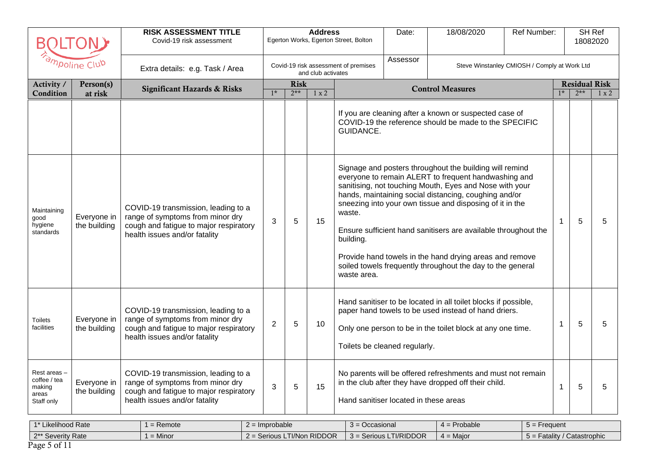|                                                               |                             | <b>RISK ASSESSMENT TITLE</b><br>Covid-19 risk assessment                                                                                           |                  |                      | <b>Address</b>     | Egerton Works, Egerton Street, Bolton | Date:                                 | 18/08/2020                                                                                                                                                                                                                                                                                                                                                                                                                                                                                 | Ref Number:                                  |              |                               | SH Ref<br>18082020 |
|---------------------------------------------------------------|-----------------------------|----------------------------------------------------------------------------------------------------------------------------------------------------|------------------|----------------------|--------------------|---------------------------------------|---------------------------------------|--------------------------------------------------------------------------------------------------------------------------------------------------------------------------------------------------------------------------------------------------------------------------------------------------------------------------------------------------------------------------------------------------------------------------------------------------------------------------------------------|----------------------------------------------|--------------|-------------------------------|--------------------|
|                                                               | ampoline Club               | Extra details: e.g. Task / Area                                                                                                                    |                  |                      | and club activates | Covid-19 risk assessment of premises  | Assessor                              |                                                                                                                                                                                                                                                                                                                                                                                                                                                                                            | Steve Winstanley CMIOSH / Comply at Work Ltd |              |                               |                    |
| Activity /<br>Condition                                       | Person(s)<br>at risk        | <b>Significant Hazards &amp; Risks</b>                                                                                                             | $1*$             | <b>Risk</b><br>$2**$ | 1 x 2              |                                       |                                       | <b>Control Measures</b>                                                                                                                                                                                                                                                                                                                                                                                                                                                                    |                                              | $1*$         | <b>Residual Risk</b><br>$2**$ | $1 \times 2$       |
|                                                               |                             |                                                                                                                                                    |                  |                      |                    | GUIDANCE.                             |                                       | If you are cleaning after a known or suspected case of<br>COVID-19 the reference should be made to the SPECIFIC                                                                                                                                                                                                                                                                                                                                                                            |                                              |              |                               |                    |
| Maintaining<br>good<br>hygiene<br>standards                   | Everyone in<br>the building | COVID-19 transmission, leading to a<br>range of symptoms from minor dry<br>cough and fatigue to major respiratory<br>health issues and/or fatality | 3                | 5                    | 15                 | waste.<br>building.<br>waste area.    |                                       | Signage and posters throughout the building will remind<br>everyone to remain ALERT to frequent handwashing and<br>sanitising, not touching Mouth, Eyes and Nose with your<br>hands, maintaining social distancing, coughing and/or<br>sneezing into your own tissue and disposing of it in the<br>Ensure sufficient hand sanitisers are available throughout the<br>Provide hand towels in the hand drying areas and remove<br>soiled towels frequently throughout the day to the general |                                              | 1            | 5                             | 5                  |
| Toilets<br>facilities                                         | Everyone in<br>the building | COVID-19 transmission, leading to a<br>range of symptoms from minor dry<br>cough and fatigue to major respiratory<br>health issues and/or fatality | $\overline{2}$   | 5                    | 10                 |                                       | Toilets be cleaned regularly.         | Hand sanitiser to be located in all toilet blocks if possible,<br>paper hand towels to be used instead of hand driers.<br>Only one person to be in the toilet block at any one time.                                                                                                                                                                                                                                                                                                       |                                              | 1            | 5                             | 5                  |
| Rest areas -<br>coffee / tea<br>making<br>areas<br>Staff only | Everyone in<br>the building | COVID-19 transmission, leading to a<br>range of symptoms from minor dry<br>cough and fatigue to major respiratory<br>health issues and/or fatality | 3                | 5                    | 15                 |                                       | Hand sanitiser located in these areas | No parents will be offered refreshments and must not remain<br>in the club after they have dropped off their child.                                                                                                                                                                                                                                                                                                                                                                        |                                              | $\mathbf{1}$ | 5                             | 5                  |
| 1* Likelihood Rate                                            |                             | $1 =$ Remote                                                                                                                                       | $2 =$ Improbable |                      |                    | $3 = Occasional$                      |                                       | $\overline{4}$ = Probable                                                                                                                                                                                                                                                                                                                                                                                                                                                                  | $5 =$ Frequent                               |              |                               |                    |

1 = Minor 2 = Serious LTI/Non RIDDOR 3 = Serious LTI/RIDDOR 4 = Major 5 = Fatality / Catastrophic 2\*\* Severity Rate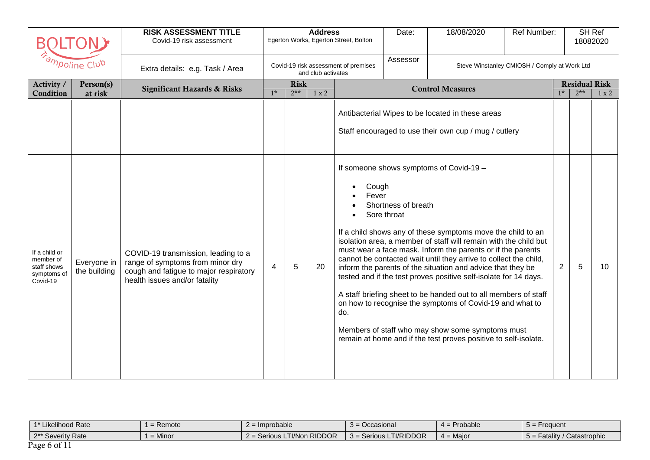| Β                                                                    |                             | <b>RISK ASSESSMENT TITLE</b><br>Covid-19 risk assessment                                                                                           | <b>Address</b><br>Egerton Works, Egerton Street, Bolton |                      |                    | Date:                                | 18/08/2020                         | Ref Number:                                                                                                                                                                                                                                                                                                                                                                                                                                                                                                                                                                                                                                                                                            |                                              |                | <b>SH Ref</b><br>18082020     |              |
|----------------------------------------------------------------------|-----------------------------|----------------------------------------------------------------------------------------------------------------------------------------------------|---------------------------------------------------------|----------------------|--------------------|--------------------------------------|------------------------------------|--------------------------------------------------------------------------------------------------------------------------------------------------------------------------------------------------------------------------------------------------------------------------------------------------------------------------------------------------------------------------------------------------------------------------------------------------------------------------------------------------------------------------------------------------------------------------------------------------------------------------------------------------------------------------------------------------------|----------------------------------------------|----------------|-------------------------------|--------------|
|                                                                      | ampoline Club               | Extra details: e.g. Task / Area                                                                                                                    |                                                         |                      | and club activates | Covid-19 risk assessment of premises | Assessor                           |                                                                                                                                                                                                                                                                                                                                                                                                                                                                                                                                                                                                                                                                                                        | Steve Winstanley CMIOSH / Comply at Work Ltd |                |                               |              |
| Activity /<br>Condition                                              | Person(s)<br>at risk        | <b>Significant Hazards &amp; Risks</b>                                                                                                             | $1*$                                                    | <b>Risk</b><br>$2**$ | 1 x 2              |                                      |                                    | <b>Control Measures</b>                                                                                                                                                                                                                                                                                                                                                                                                                                                                                                                                                                                                                                                                                |                                              | $1*$           | <b>Residual Risk</b><br>$2**$ | $1 \times 2$ |
|                                                                      |                             |                                                                                                                                                    |                                                         |                      |                    |                                      |                                    | Antibacterial Wipes to be located in these areas<br>Staff encouraged to use their own cup / mug / cutlery                                                                                                                                                                                                                                                                                                                                                                                                                                                                                                                                                                                              |                                              |                |                               |              |
| If a child or<br>member of<br>staff shows<br>symptoms of<br>Covid-19 | Everyone in<br>the building | COVID-19 transmission, leading to a<br>range of symptoms from minor dry<br>cough and fatigue to major respiratory<br>health issues and/or fatality | 4                                                       | 5                    | 20                 | Cough<br>Fever<br>do.                | Shortness of breath<br>Sore throat | If someone shows symptoms of Covid-19 -<br>If a child shows any of these symptoms move the child to an<br>isolation area, a member of staff will remain with the child but<br>must wear a face mask. Inform the parents or if the parents<br>cannot be contacted wait until they arrive to collect the child,<br>inform the parents of the situation and advice that they be<br>tested and if the test proves positive self-isolate for 14 days.<br>A staff briefing sheet to be handed out to all members of staff<br>on how to recognise the symptoms of Covid-19 and what to<br>Members of staff who may show some symptoms must<br>remain at home and if the test proves positive to self-isolate. |                                              | $\overline{2}$ | 5                             | 10           |

| $4 \pm 1$<br>Likelihood Rate            | Remote | ' = Improbable                                         | Jccasional           | Probable    | $5 =$ Frequent                    |
|-----------------------------------------|--------|--------------------------------------------------------|----------------------|-------------|-----------------------------------|
| $2**$ $\sim$<br>Severity Rate<br>$\sim$ | Minor  | LTI/Non RIDDOR<br>$^\circ$ orious $\Box$ .<br>$2 = 50$ | TI/RIDDOR<br>Serious | $4 =$ Major | Catastrophic<br>Fatalitv<br>$5 =$ |
| $P$ <sub>200</sub> 6 of                 |        |                                                        |                      |             |                                   |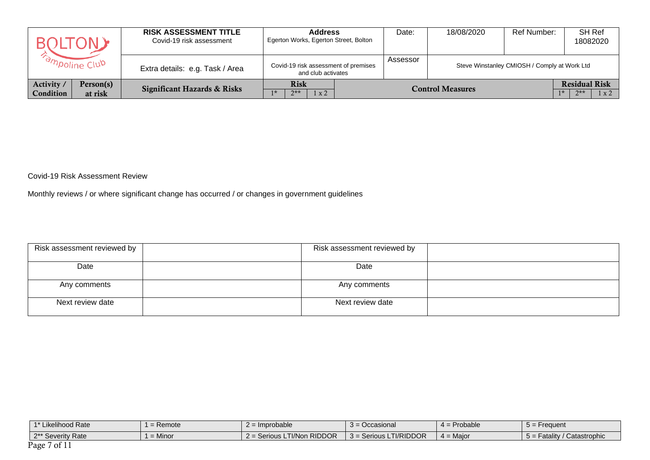|                                | $\pm$ ( ) N =        | <b>RISK ASSESSMENT TITLE</b><br>Covid-19 risk assessment | <b>Address</b><br>Egerton Works, Egerton Street, Bolton    | Date:    | 18/08/2020              | Ref Number:                                  | SH Ref<br>18082020                                    |
|--------------------------------|----------------------|----------------------------------------------------------|------------------------------------------------------------|----------|-------------------------|----------------------------------------------|-------------------------------------------------------|
| <b><i>Ampoline Club</i></b>    |                      | Extra details: e.g. Task / Area                          | Covid-19 risk assessment of premises<br>and club activates | Assessor |                         | Steve Winstanley CMIOSH / Comply at Work Ltd |                                                       |
| Activity /<br><b>Condition</b> | Person(s)<br>at risk | <b>Significant Hazards &amp; Risks</b>                   | <b>Risk</b><br>$2**$<br>$1 \times 2$                       |          | <b>Control Measures</b> |                                              | <b>Residual Risk</b><br>$7**$<br>$1 \times 2$<br>$1*$ |

Covid-19 Risk Assessment Review

Monthly reviews / or where significant change has occurred / or changes in government guidelines

| Risk assessment reviewed by | Risk assessment reviewed by |  |
|-----------------------------|-----------------------------|--|
| Date                        | Date                        |  |
| Any comments                | Any comments                |  |
| Next review date            | Next review date            |  |

| $4*1:$<br>Likelihood Rate                          | Remote    | : Improbable             | Occasional                       | Probable<br>$\overline{\phantom{a}}$ | Frequent                                        |
|----------------------------------------------------|-----------|--------------------------|----------------------------------|--------------------------------------|-------------------------------------------------|
| 2** Severity<br><b>Rate</b>                        | $=$ Minor | - Serious LTI/Non RIDDOR | = Serious LTI/RIDDOR<br>$3 = 56$ | Maior<br>$4 =$                       | Catastrophic<br>Fatality<br>$\cdot$ $\cdot$ $-$ |
| $\mathbf{D}_{\mathbf{a}}$<br>$\lambda$ - $\lambda$ |           |                          |                                  |                                      |                                                 |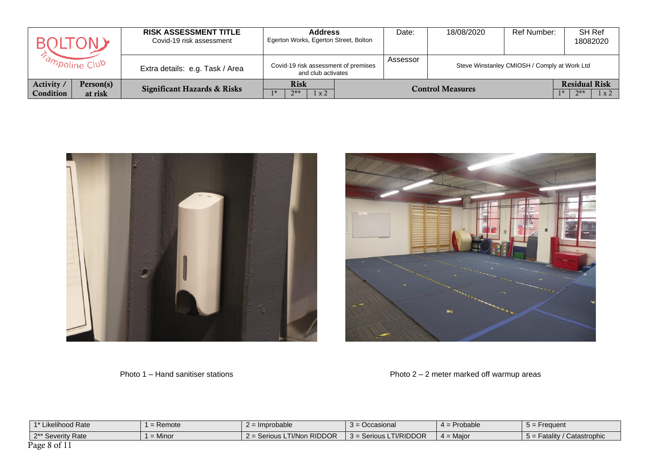|                                               | <b>RISK ASSESSMENT TITLE</b><br>Covid-19 risk assessment | <b>Address</b><br>Egerton Works, Egerton Street, Bolton    | Date:    | 18/08/2020              | Ref Number:                                  | SH Ref<br>18082020                                    |
|-----------------------------------------------|----------------------------------------------------------|------------------------------------------------------------|----------|-------------------------|----------------------------------------------|-------------------------------------------------------|
| <b><i>Fampoline Club</i></b>                  | Extra details: e.g. Task / Area                          | Covid-19 risk assessment of premises<br>and club activates | Assessor |                         | Steve Winstanley CMIOSH / Comply at Work Ltd |                                                       |
| Person(s)<br>Activity<br>Condition<br>at risk | <b>Significant Hazards &amp; Risks</b>                   | <b>Risk</b><br>$7**$<br>1 x 2                              |          | <b>Control Measures</b> |                                              | <b>Residual Risk</b><br>$7**$<br>$1 \times 2$<br>$1*$ |





Photo 1 – Hand sanitiser stations Photo 2 – 2 meter marked off warmup areas

| 1* Likelihood Rate | $=$ Remote | = Improbable               | $3 = Occasional$         | $4 =$ Probable | $5 =$ Frequent                |
|--------------------|------------|----------------------------|--------------------------|----------------|-------------------------------|
| 2** Severity Rate  | $=$ Minor  | 2 = Serious LTI/Non RIDDOR | $3 =$ Serious LTI/RIDDOR | $4 =$ Maior    | $5 =$ Fatality / Catastrophic |
| Page 8 of 11       |            |                            |                          |                |                               |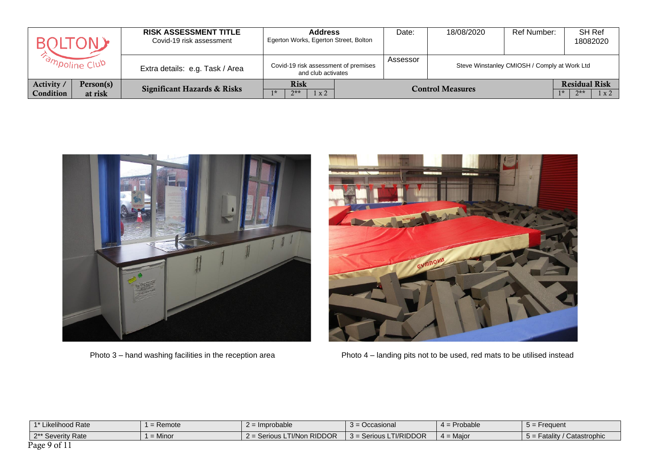|                                               | <b>RISK ASSESSMENT TITLE</b><br>Covid-19 risk assessment | <b>Address</b><br>Egerton Works, Egerton Street, Bolton    |  | Date:    | 18/08/2020              | Ref Number:                                  | SH Ref<br>18082020                            |
|-----------------------------------------------|----------------------------------------------------------|------------------------------------------------------------|--|----------|-------------------------|----------------------------------------------|-----------------------------------------------|
| <b><i>Campoline Club</i></b>                  | Extra details: e.g. Task / Area                          | Covid-19 risk assessment of premises<br>and club activates |  | Assessor |                         | Steve Winstanley CMIOSH / Comply at Work Ltd |                                               |
| Person(s)<br>Activity<br>Condition<br>at risk | <b>Significant Hazards &amp; Risks</b>                   | <b>Risk</b><br>$2**$<br>1 x 2                              |  |          | <b>Control Measures</b> |                                              | <b>Residual Risk</b><br>$2**$<br>$1 \times 2$ |





Photo 3 – hand washing facilities in the reception area Photo 4 – landing pits not to be used, red mats to be utilised instead

| 1* Likelihood Rate | $=$ Remote | $2 =$ Improbable           | $3 = Occasional$         | 4 = Probable | $5 =$ Frequent              |
|--------------------|------------|----------------------------|--------------------------|--------------|-----------------------------|
| 2** Severity Rate  | $=$ Minor  | 2 = Serious LTI/Non RIDDOR | $3 =$ Serious LTI/RIDDOR | $4 =$ Maior  | 5 = Fatality / Catastrophic |
| Page 9 of 11       |            |                            |                          |              |                             |